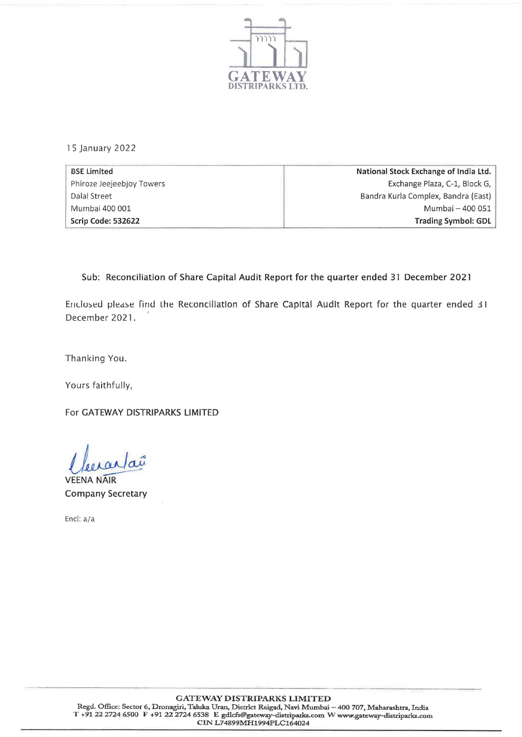

15 January 2022

| <b>BSE Limited</b>        | National Stock Exchange of India Ltd. |
|---------------------------|---------------------------------------|
| Phiroze Jeejeebjoy Towers | Exchange Plaza, C-1, Block G,         |
| Dalal Street              | Bandra Kurla Complex, Bandra (East)   |
| Mumbai 400 001            | Mumbai - 400 051                      |
| Scrip Code: 532622        | <b>Trading Symbol: GDL</b>            |

## Sub: Reconciliation of Share Capital Audit Report for the quarter ended 31 December 2021

Ericlosed please find the Reconciliation of Share Capital Audit Report for the quarter ended 31 December 2021.

Thanking You.

Yours faithfully,

For GATEWAY DISTRIPARKS LIMITED

raî

**VEENA NAIR** Company Secretary

Encl: a/a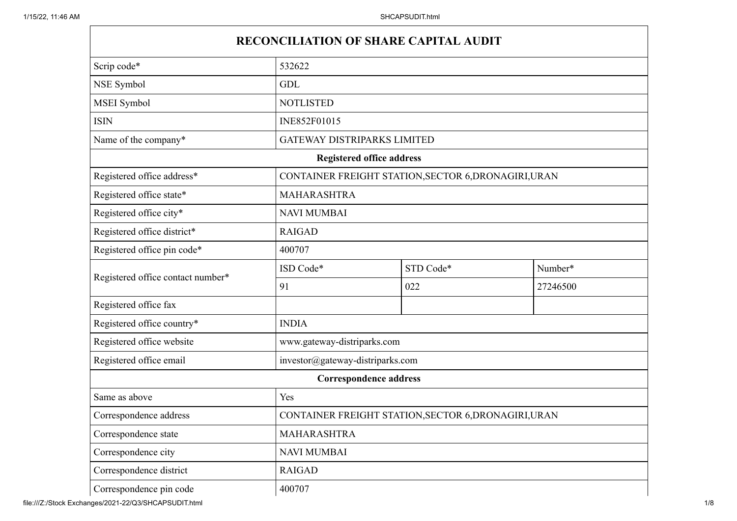## **RECONCILIATION OF SHARE CAPITAL AUDIT**

| Scrip code*                       | 532622                                               |                                                      |          |  |
|-----------------------------------|------------------------------------------------------|------------------------------------------------------|----------|--|
| NSE Symbol                        | <b>GDL</b>                                           |                                                      |          |  |
| MSEI Symbol                       | <b>NOTLISTED</b>                                     |                                                      |          |  |
| <b>ISIN</b>                       | INE852F01015                                         |                                                      |          |  |
| Name of the company*              | GATEWAY DISTRIPARKS LIMITED                          |                                                      |          |  |
|                                   | <b>Registered office address</b>                     |                                                      |          |  |
| Registered office address*        |                                                      | CONTAINER FREIGHT STATION, SECTOR 6, DRONAGIRI, URAN |          |  |
| Registered office state*          | MAHARASHTRA                                          |                                                      |          |  |
| Registered office city*           | <b>NAVI MUMBAI</b>                                   |                                                      |          |  |
| Registered office district*       | <b>RAIGAD</b>                                        |                                                      |          |  |
| Registered office pin code*       | 400707                                               |                                                      |          |  |
|                                   | ISD Code*                                            | STD Code*                                            | Number*  |  |
| Registered office contact number* | 91                                                   | 022                                                  | 27246500 |  |
| Registered office fax             |                                                      |                                                      |          |  |
| Registered office country*        | <b>INDIA</b>                                         |                                                      |          |  |
| Registered office website         | www.gateway-distriparks.com                          |                                                      |          |  |
| Registered office email           | investor@gateway-distriparks.com                     |                                                      |          |  |
|                                   | <b>Correspondence address</b>                        |                                                      |          |  |
| Same as above                     | Yes                                                  |                                                      |          |  |
| Correspondence address            | CONTAINER FREIGHT STATION, SECTOR 6, DRONAGIRI, URAN |                                                      |          |  |
| Correspondence state              | <b>MAHARASHTRA</b>                                   |                                                      |          |  |
| Correspondence city               | <b>NAVI MUMBAI</b>                                   |                                                      |          |  |
| Correspondence district           | <b>RAIGAD</b>                                        |                                                      |          |  |
| Correspondence pin code           | 400707                                               |                                                      |          |  |

file:///Z:/Stock Exchanges/2021-22/Q3/SHCAPSUDIT.html 1/8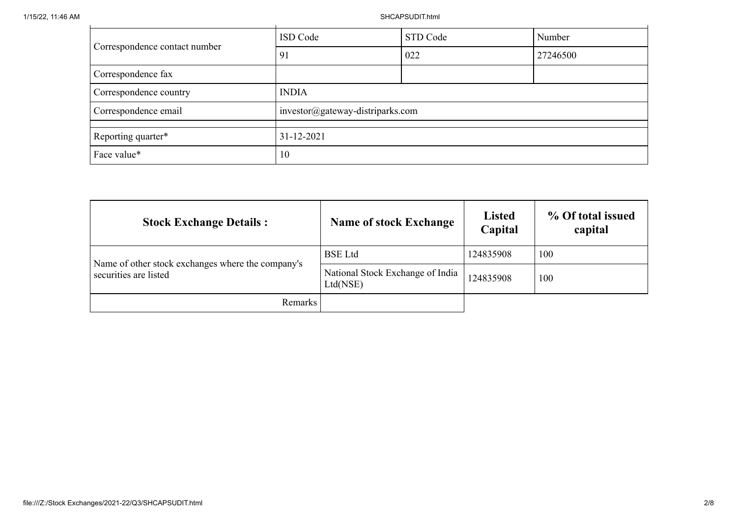1/15/22, 11:46 AM SHCAPSUDIT.html

| Correspondence contact number | ISD Code                         | STD Code | Number   |
|-------------------------------|----------------------------------|----------|----------|
|                               | 91                               | 022      | 27246500 |
| Correspondence fax            |                                  |          |          |
| Correspondence country        | <b>INDIA</b>                     |          |          |
| Correspondence email          | investor@gateway-distriparks.com |          |          |
| Reporting quarter*            | $31 - 12 - 2021$                 |          |          |
| Face value*                   | 10                               |          |          |

| <b>Stock Exchange Details:</b>                                             | <b>Name of stock Exchange</b>                | <b>Listed</b><br>Capital | % Of total issued<br>capital |
|----------------------------------------------------------------------------|----------------------------------------------|--------------------------|------------------------------|
|                                                                            | <b>BSE</b> Ltd                               | 124835908                | 100                          |
| Name of other stock exchanges where the company's<br>securities are listed | National Stock Exchange of India<br>Ltd(NSE) | 124835908                | 100                          |
| Remarks                                                                    |                                              |                          |                              |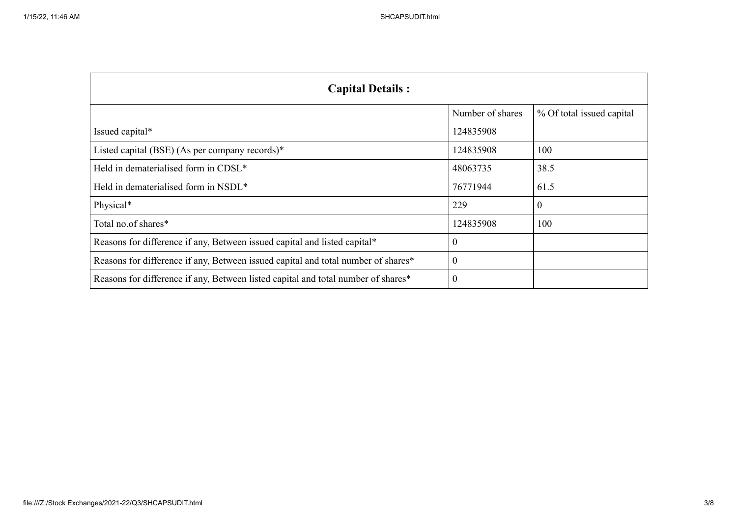| <b>Capital Details:</b>                                                           |                  |                           |
|-----------------------------------------------------------------------------------|------------------|---------------------------|
|                                                                                   | Number of shares | % Of total issued capital |
| Issued capital*                                                                   | 124835908        |                           |
| Listed capital (BSE) (As per company records) $*$                                 | 124835908        | 100                       |
| Held in dematerialised form in CDSL*                                              | 48063735         | 38.5                      |
| Held in dematerialised form in NSDL*                                              | 76771944         | 61.5                      |
| Physical*                                                                         | 229              | $\mathbf{0}$              |
| Total no.of shares*                                                               | 124835908        | 100                       |
| Reasons for difference if any, Between issued capital and listed capital*         | $\theta$         |                           |
| Reasons for difference if any, Between issued capital and total number of shares* | $\theta$         |                           |
| Reasons for difference if any, Between listed capital and total number of shares* | $\Omega$         |                           |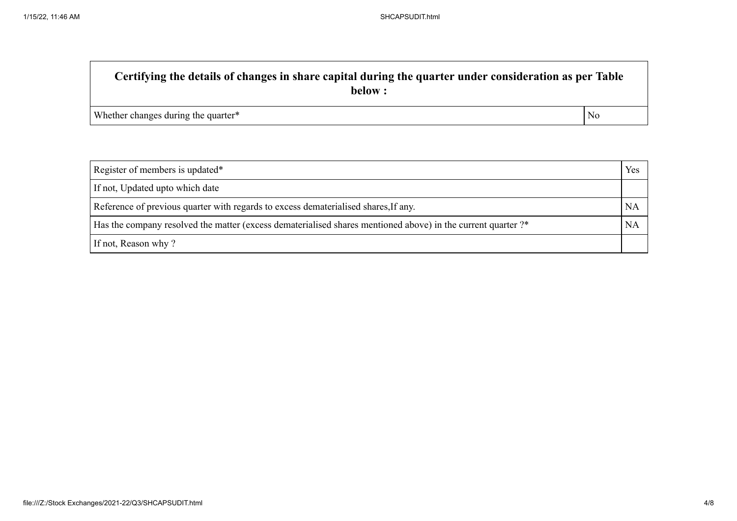## **Certifying the details of changes in share capital during the quarter under consideration as per Table below :** Whether changes during the quarter\* No

| Register of members is updated*                                                                              |           |
|--------------------------------------------------------------------------------------------------------------|-----------|
| If not, Updated upto which date                                                                              |           |
| Reference of previous quarter with regards to excess dematerialised shares, If any.                          | <b>NA</b> |
| Has the company resolved the matter (excess dematerialised shares mentioned above) in the current quarter ?* | <b>NA</b> |
| If not, Reason why?                                                                                          |           |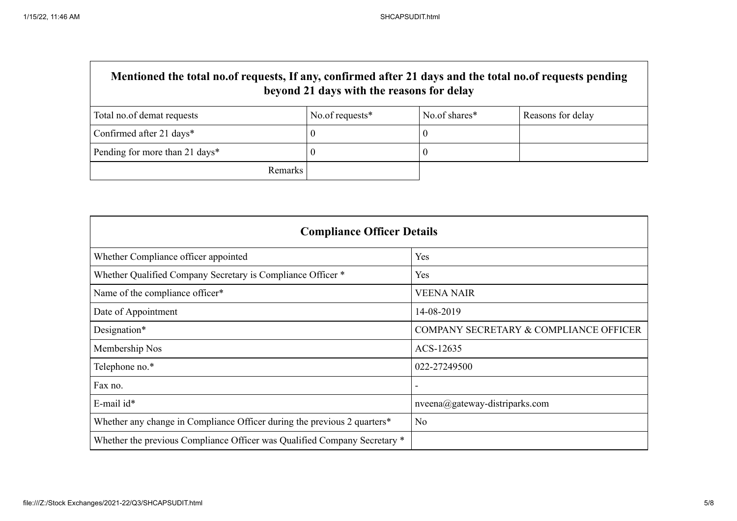| Mentioned the total no.of requests, If any, confirmed after 21 days and the total no.of requests pending<br>beyond 21 days with the reasons for delay |                 |               |                   |
|-------------------------------------------------------------------------------------------------------------------------------------------------------|-----------------|---------------|-------------------|
| Total no.of demat requests                                                                                                                            | No.of requests* | No.of shares* | Reasons for delay |
| Confirmed after 21 days*                                                                                                                              |                 |               |                   |
| Pending for more than 21 days*                                                                                                                        |                 |               |                   |
| Remarks                                                                                                                                               |                 |               |                   |

| <b>Compliance Officer Details</b>                                         |                                        |  |
|---------------------------------------------------------------------------|----------------------------------------|--|
| Whether Compliance officer appointed                                      | Yes                                    |  |
| Whether Qualified Company Secretary is Compliance Officer *               | Yes                                    |  |
| Name of the compliance officer*                                           | <b>VEENA NAIR</b>                      |  |
| Date of Appointment                                                       | 14-08-2019                             |  |
| Designation*                                                              | COMPANY SECRETARY & COMPLIANCE OFFICER |  |
| Membership Nos                                                            | ACS-12635                              |  |
| Telephone no.*                                                            | 022-27249500                           |  |
| Fax no.                                                                   |                                        |  |
| E-mail id*                                                                | $nveena$ @gateway-distriparks.com      |  |
| Whether any change in Compliance Officer during the previous 2 quarters*  | No                                     |  |
| Whether the previous Compliance Officer was Qualified Company Secretary * |                                        |  |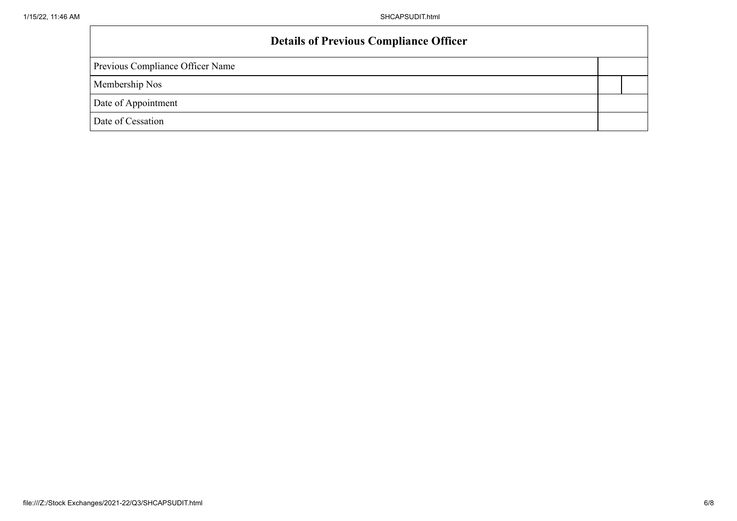## **Details of Previous Compliance Officer**

Previous Compliance Officer Name

Membership Nos

Date of Appointment

Date of Cessation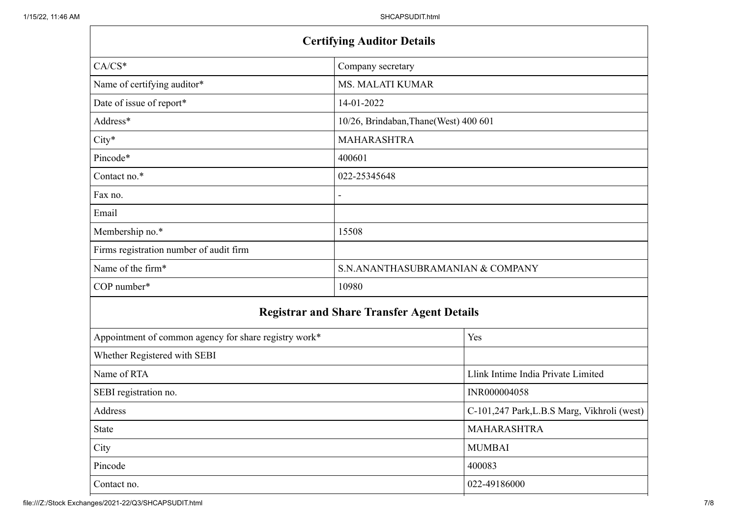| <b>Certifying Auditor Details</b>                     |                                                   |                                             |
|-------------------------------------------------------|---------------------------------------------------|---------------------------------------------|
| $CA/CS^*$                                             | Company secretary                                 |                                             |
| Name of certifying auditor*                           | <b>MS. MALATI KUMAR</b>                           |                                             |
| Date of issue of report*                              | 14-01-2022                                        |                                             |
| Address*                                              | 10/26, Brindaban, Thane(West) 400 601             |                                             |
| $City*$                                               | <b>MAHARASHTRA</b>                                |                                             |
| Pincode*                                              | 400601                                            |                                             |
| Contact no.*                                          | 022-25345648                                      |                                             |
| Fax no.                                               |                                                   |                                             |
| Email                                                 |                                                   |                                             |
| Membership no.*                                       | 15508                                             |                                             |
| Firms registration number of audit firm               |                                                   |                                             |
| Name of the firm*                                     | S.N.ANANTHASUBRAMANIAN & COMPANY                  |                                             |
| COP number*                                           | 10980                                             |                                             |
|                                                       | <b>Registrar and Share Transfer Agent Details</b> |                                             |
| Appointment of common agency for share registry work* |                                                   | Yes                                         |
| Whether Registered with SEBI                          |                                                   |                                             |
| Name of RTA                                           |                                                   | Llink Intime India Private Limited          |
| SEBI registration no.                                 |                                                   | INR000004058                                |
| Address                                               |                                                   | C-101,247 Park, L.B.S Marg, Vikhroli (west) |
| State                                                 |                                                   | MAHARASHTRA                                 |
| City                                                  |                                                   | <b>MUMBAI</b>                               |
| Pincode                                               |                                                   | 400083                                      |
| Contact no.                                           |                                                   | 022-49186000                                |

file:///Z:/Stock Exchanges/2021-22/Q3/SHCAPSUDIT.html 7/8